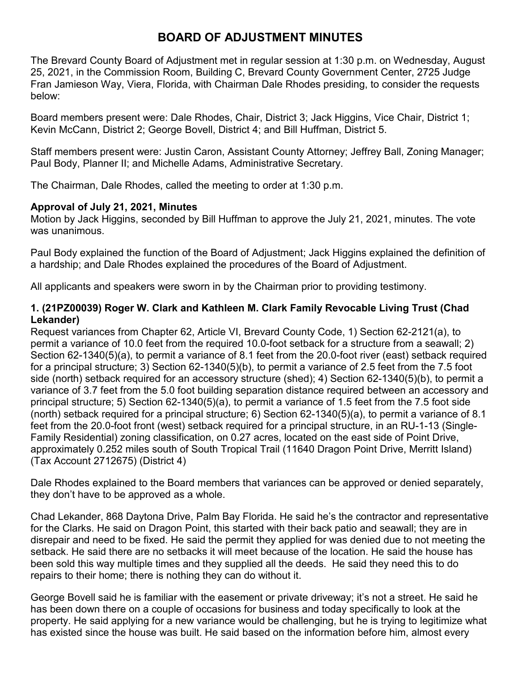# **BOARD OF ADJUSTMENT MINUTES**

The Brevard County Board of Adjustment met in regular session at 1:30 p.m. on Wednesday, August 25, 2021, in the Commission Room, Building C, Brevard County Government Center, 2725 Judge Fran Jamieson Way, Viera, Florida, with Chairman Dale Rhodes presiding, to consider the requests below:

Board members present were: Dale Rhodes, Chair, District 3; Jack Higgins, Vice Chair, District 1; Kevin McCann, District 2; George Bovell, District 4; and Bill Huffman, District 5.

Staff members present were: Justin Caron, Assistant County Attorney; Jeffrey Ball, Zoning Manager; Paul Body, Planner II; and Michelle Adams, Administrative Secretary.

The Chairman, Dale Rhodes, called the meeting to order at 1:30 p.m.

#### **Approval of July 21, 2021, Minutes**

Motion by Jack Higgins, seconded by Bill Huffman to approve the July 21, 2021, minutes. The vote was unanimous.

Paul Body explained the function of the Board of Adjustment; Jack Higgins explained the definition of a hardship; and Dale Rhodes explained the procedures of the Board of Adjustment.

All applicants and speakers were sworn in by the Chairman prior to providing testimony.

### **1. (21PZ00039) Roger W. Clark and Kathleen M. Clark Family Revocable Living Trust (Chad Lekander)**

Request variances from Chapter 62, Article VI, Brevard County Code, 1) Section 62-2121(a), to permit a variance of 10.0 feet from the required 10.0-foot setback for a structure from a seawall; 2) Section 62-1340(5)(a), to permit a variance of 8.1 feet from the 20.0-foot river (east) setback required for a principal structure; 3) Section 62-1340(5)(b), to permit a variance of 2.5 feet from the 7.5 foot side (north) setback required for an accessory structure (shed); 4) Section 62-1340(5)(b), to permit a variance of 3.7 feet from the 5.0 foot building separation distance required between an accessory and principal structure; 5) Section 62-1340(5)(a), to permit a variance of 1.5 feet from the 7.5 foot side (north) setback required for a principal structure; 6) Section 62-1340(5)(a), to permit a variance of 8.1 feet from the 20.0-foot front (west) setback required for a principal structure, in an RU-1-13 (Single-Family Residential) zoning classification, on 0.27 acres, located on the east side of Point Drive, approximately 0.252 miles south of South Tropical Trail (11640 Dragon Point Drive, Merritt Island) (Tax Account 2712675) (District 4)

Dale Rhodes explained to the Board members that variances can be approved or denied separately, they don't have to be approved as a whole.

Chad Lekander, 868 Daytona Drive, Palm Bay Florida. He said he's the contractor and representative for the Clarks. He said on Dragon Point, this started with their back patio and seawall; they are in disrepair and need to be fixed. He said the permit they applied for was denied due to not meeting the setback. He said there are no setbacks it will meet because of the location. He said the house has been sold this way multiple times and they supplied all the deeds. He said they need this to do repairs to their home; there is nothing they can do without it.

George Bovell said he is familiar with the easement or private driveway; it's not a street. He said he has been down there on a couple of occasions for business and today specifically to look at the property. He said applying for a new variance would be challenging, but he is trying to legitimize what has existed since the house was built. He said based on the information before him, almost every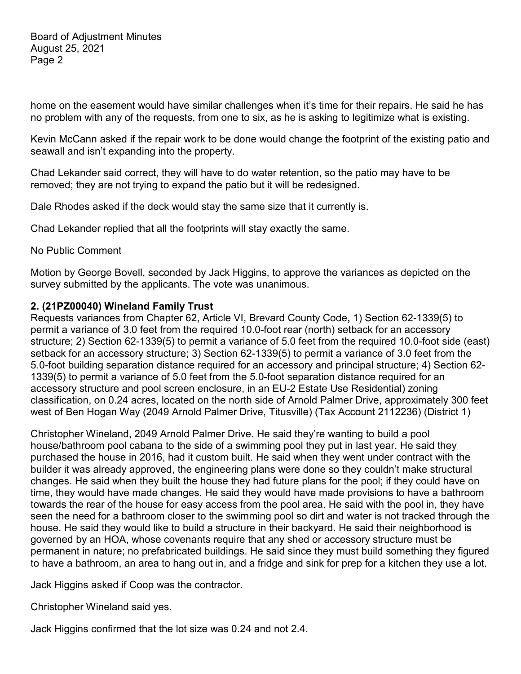home on the easement would have similar challenges when it's time for their repairs. He said he has no problem with any of the requests, from one to six, as he is asking to legitimize what is existing.

Kevin McCann asked if the repair work to be done would change the footprint of the existing patio and seawall and isn't expanding into the property.

Chad Lekander said correct, they will have to do water retention, so the patio may have to be removed; they are not trying to expand the patio but it will be redesigned.

Dale Rhodes asked if the deck would stay the same size that it currently is.

Chad Lekander replied that all the footprints will stay exactly the same.

No Public Comment

Motion by George Bovell, seconded by Jack Higgins, to approve the variances as depicted on the survey submitted by the applicants. The vote was unanimous.

#### **2. (21PZ00040) Wineland Family Trust**

Requests variances from Chapter 62, Article VI, Brevard County Code**,** 1) Section 62-1339(5) to permit a variance of 3.0 feet from the required 10.0-foot rear (north) setback for an accessory structure; 2) Section 62-1339(5) to permit a variance of 5.0 feet from the required 10.0-foot side (east) setback for an accessory structure; 3) Section 62-1339(5) to permit a variance of 3.0 feet from the 5.0-foot building separation distance required for an accessory and principal structure; 4) Section 62- 1339(5) to permit a variance of 5.0 feet from the 5.0-foot separation distance required for an accessory structure and pool screen enclosure, in an EU-2 Estate Use Residential) zoning classification, on 0.24 acres, located on the north side of Arnold Palmer Drive, approximately 300 feet west of Ben Hogan Way (2049 Arnold Palmer Drive, Titusville) (Tax Account 2112236) (District 1)

Christopher Wineland, 2049 Arnold Palmer Drive. He said they're wanting to build a pool house/bathroom pool cabana to the side of a swimming pool they put in last year. He said they purchased the house in 2016, had it custom built. He said when they went under contract with the builder it was already approved, the engineering plans were done so they couldn't make structural changes. He said when they built the house they had future plans for the pool; if they could have on time, they would have made changes. He said they would have made provisions to have a bathroom towards the rear of the house for easy access from the pool area. He said with the pool in, they have seen the need for a bathroom closer to the swimming pool so dirt and water is not tracked through the house. He said they would like to build a structure in their backyard. He said their neighborhood is governed by an HOA, whose covenants require that any shed or accessory structure must be permanent in nature; no prefabricated buildings. He said since they must build something they figured to have a bathroom, an area to hang out in, and a fridge and sink for prep for a kitchen they use a lot.

Jack Higgins asked if Coop was the contractor.

Christopher Wineland said yes.

Jack Higgins confirmed that the lot size was 0.24 and not 2.4.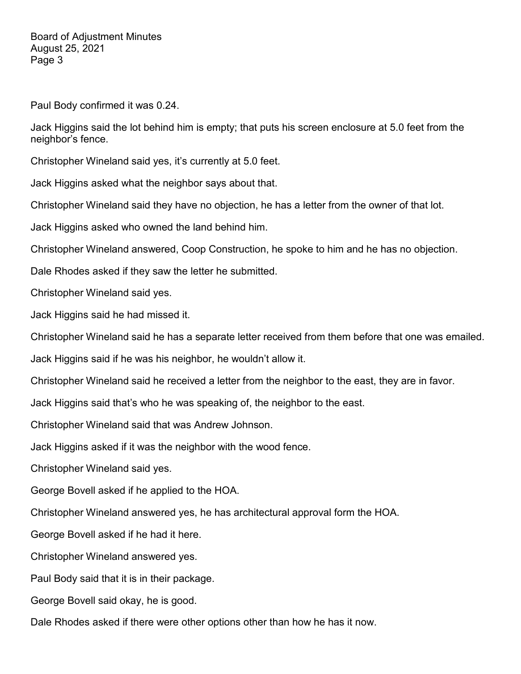Board of Adjustment Minutes August 25, 2021 Page 3

Paul Body confirmed it was 0.24.

Jack Higgins said the lot behind him is empty; that puts his screen enclosure at 5.0 feet from the neighbor's fence.

Christopher Wineland said yes, it's currently at 5.0 feet.

Jack Higgins asked what the neighbor says about that.

Christopher Wineland said they have no objection, he has a letter from the owner of that lot.

Jack Higgins asked who owned the land behind him.

Christopher Wineland answered, Coop Construction, he spoke to him and he has no objection.

Dale Rhodes asked if they saw the letter he submitted.

Christopher Wineland said yes.

Jack Higgins said he had missed it.

Christopher Wineland said he has a separate letter received from them before that one was emailed.

Jack Higgins said if he was his neighbor, he wouldn't allow it.

Christopher Wineland said he received a letter from the neighbor to the east, they are in favor.

Jack Higgins said that's who he was speaking of, the neighbor to the east.

Christopher Wineland said that was Andrew Johnson.

Jack Higgins asked if it was the neighbor with the wood fence.

Christopher Wineland said yes.

George Bovell asked if he applied to the HOA.

Christopher Wineland answered yes, he has architectural approval form the HOA.

George Bovell asked if he had it here.

Christopher Wineland answered yes.

Paul Body said that it is in their package.

George Bovell said okay, he is good.

Dale Rhodes asked if there were other options other than how he has it now.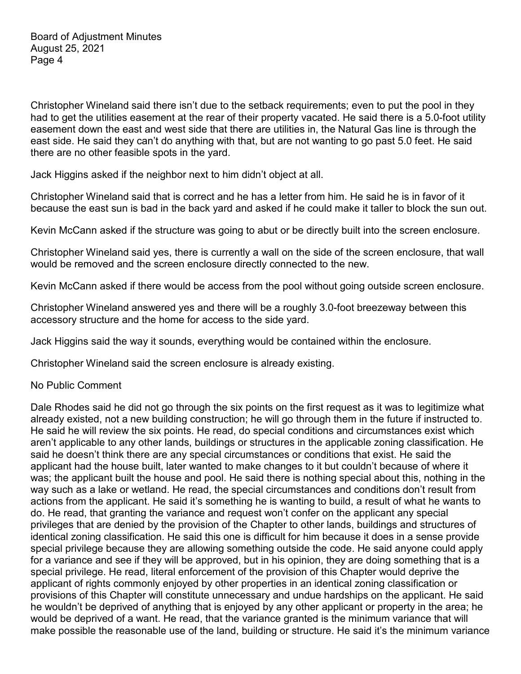Christopher Wineland said there isn't due to the setback requirements; even to put the pool in they had to get the utilities easement at the rear of their property vacated. He said there is a 5.0-foot utility easement down the east and west side that there are utilities in, the Natural Gas line is through the east side. He said they can't do anything with that, but are not wanting to go past 5.0 feet. He said there are no other feasible spots in the yard.

Jack Higgins asked if the neighbor next to him didn't object at all.

Christopher Wineland said that is correct and he has a letter from him. He said he is in favor of it because the east sun is bad in the back yard and asked if he could make it taller to block the sun out.

Kevin McCann asked if the structure was going to abut or be directly built into the screen enclosure.

Christopher Wineland said yes, there is currently a wall on the side of the screen enclosure, that wall would be removed and the screen enclosure directly connected to the new.

Kevin McCann asked if there would be access from the pool without going outside screen enclosure.

Christopher Wineland answered yes and there will be a roughly 3.0-foot breezeway between this accessory structure and the home for access to the side yard.

Jack Higgins said the way it sounds, everything would be contained within the enclosure.

Christopher Wineland said the screen enclosure is already existing.

## No Public Comment

Dale Rhodes said he did not go through the six points on the first request as it was to legitimize what already existed, not a new building construction; he will go through them in the future if instructed to. He said he will review the six points. He read, do special conditions and circumstances exist which aren't applicable to any other lands, buildings or structures in the applicable zoning classification. He said he doesn't think there are any special circumstances or conditions that exist. He said the applicant had the house built, later wanted to make changes to it but couldn't because of where it was; the applicant built the house and pool. He said there is nothing special about this, nothing in the way such as a lake or wetland. He read, the special circumstances and conditions don't result from actions from the applicant. He said it's something he is wanting to build, a result of what he wants to do. He read, that granting the variance and request won't confer on the applicant any special privileges that are denied by the provision of the Chapter to other lands, buildings and structures of identical zoning classification. He said this one is difficult for him because it does in a sense provide special privilege because they are allowing something outside the code. He said anyone could apply for a variance and see if they will be approved, but in his opinion, they are doing something that is a special privilege. He read, literal enforcement of the provision of this Chapter would deprive the applicant of rights commonly enjoyed by other properties in an identical zoning classification or provisions of this Chapter will constitute unnecessary and undue hardships on the applicant. He said he wouldn't be deprived of anything that is enjoyed by any other applicant or property in the area; he would be deprived of a want. He read, that the variance granted is the minimum variance that will make possible the reasonable use of the land, building or structure. He said it's the minimum variance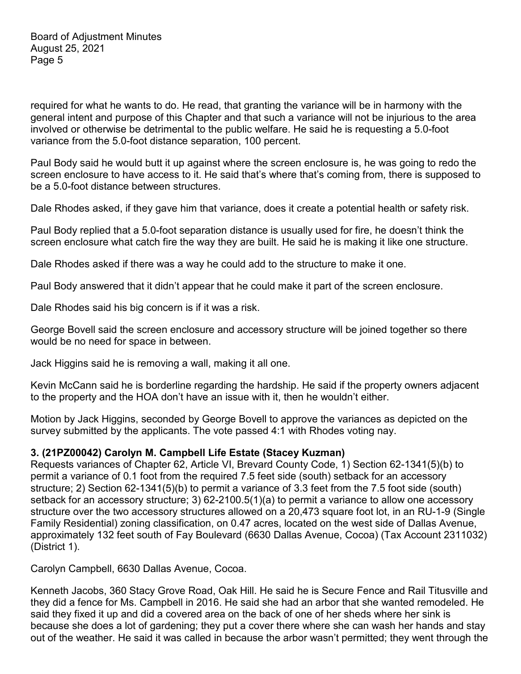required for what he wants to do. He read, that granting the variance will be in harmony with the general intent and purpose of this Chapter and that such a variance will not be injurious to the area involved or otherwise be detrimental to the public welfare. He said he is requesting a 5.0-foot variance from the 5.0-foot distance separation, 100 percent.

Paul Body said he would butt it up against where the screen enclosure is, he was going to redo the screen enclosure to have access to it. He said that's where that's coming from, there is supposed to be a 5.0-foot distance between structures.

Dale Rhodes asked, if they gave him that variance, does it create a potential health or safety risk.

Paul Body replied that a 5.0-foot separation distance is usually used for fire, he doesn't think the screen enclosure what catch fire the way they are built. He said he is making it like one structure.

Dale Rhodes asked if there was a way he could add to the structure to make it one.

Paul Body answered that it didn't appear that he could make it part of the screen enclosure.

Dale Rhodes said his big concern is if it was a risk.

George Bovell said the screen enclosure and accessory structure will be joined together so there would be no need for space in between.

Jack Higgins said he is removing a wall, making it all one.

Kevin McCann said he is borderline regarding the hardship. He said if the property owners adjacent to the property and the HOA don't have an issue with it, then he wouldn't either.

Motion by Jack Higgins, seconded by George Bovell to approve the variances as depicted on the survey submitted by the applicants. The vote passed 4:1 with Rhodes voting nay.

## **3. (21PZ00042) Carolyn M. Campbell Life Estate (Stacey Kuzman)**

Requests variances of Chapter 62, Article VI, Brevard County Code, 1) Section 62-1341(5)(b) to permit a variance of 0.1 foot from the required 7.5 feet side (south) setback for an accessory structure; 2) Section 62-1341(5)(b) to permit a variance of 3.3 feet from the 7.5 foot side (south) setback for an accessory structure; 3) 62-2100.5(1)(a) to permit a variance to allow one accessory structure over the two accessory structures allowed on a 20,473 square foot lot, in an RU-1-9 (Single Family Residential) zoning classification, on 0.47 acres, located on the west side of Dallas Avenue, approximately 132 feet south of Fay Boulevard (6630 Dallas Avenue, Cocoa) (Tax Account 2311032) (District 1).

Carolyn Campbell, 6630 Dallas Avenue, Cocoa.

Kenneth Jacobs, 360 Stacy Grove Road, Oak Hill. He said he is Secure Fence and Rail Titusville and they did a fence for Ms. Campbell in 2016. He said she had an arbor that she wanted remodeled. He said they fixed it up and did a covered area on the back of one of her sheds where her sink is because she does a lot of gardening; they put a cover there where she can wash her hands and stay out of the weather. He said it was called in because the arbor wasn't permitted; they went through the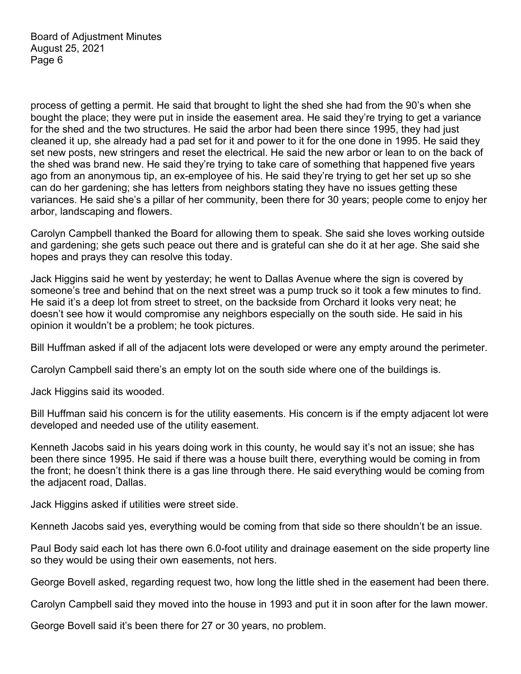process of getting a permit. He said that brought to light the shed she had from the 90's when she bought the place; they were put in inside the easement area. He said they're trying to get a variance for the shed and the two structures. He said the arbor had been there since 1995, they had just cleaned it up, she already had a pad set for it and power to it for the one done in 1995. He said they set new posts, new stringers and reset the electrical. He said the new arbor or lean to on the back of the shed was brand new. He said they're trying to take care of something that happened five years ago from an anonymous tip, an ex-employee of his. He said they're trying to get her set up so she can do her gardening; she has letters from neighbors stating they have no issues getting these variances. He said she's a pillar of her community, been there for 30 years; people come to enjoy her arbor, landscaping and flowers.

Carolyn Campbell thanked the Board for allowing them to speak. She said she loves working outside and gardening; she gets such peace out there and is grateful can she do it at her age. She said she hopes and prays they can resolve this today.

Jack Higgins said he went by yesterday; he went to Dallas Avenue where the sign is covered by someone's tree and behind that on the next street was a pump truck so it took a few minutes to find. He said it's a deep lot from street to street, on the backside from Orchard it looks very neat; he doesn't see how it would compromise any neighbors especially on the south side. He said in his opinion it wouldn't be a problem; he took pictures.

Bill Huffman asked if all of the adjacent lots were developed or were any empty around the perimeter.

Carolyn Campbell said there's an empty lot on the south side where one of the buildings is.

Jack Higgins said its wooded.

Bill Huffman said his concern is for the utility easements. His concern is if the empty adjacent lot were developed and needed use of the utility easement.

Kenneth Jacobs said in his years doing work in this county, he would say it's not an issue; she has been there since 1995. He said if there was a house built there, everything would be coming in from the front; he doesn't think there is a gas line through there. He said everything would be coming from the adjacent road, Dallas.

Jack Higgins asked if utilities were street side.

Kenneth Jacobs said yes, everything would be coming from that side so there shouldn't be an issue.

Paul Body said each lot has there own 6.0-foot utility and drainage easement on the side property line so they would be using their own easements, not hers.

George Bovell asked, regarding request two, how long the little shed in the easement had been there.

Carolyn Campbell said they moved into the house in 1993 and put it in soon after for the lawn mower.

George Bovell said it's been there for 27 or 30 years, no problem.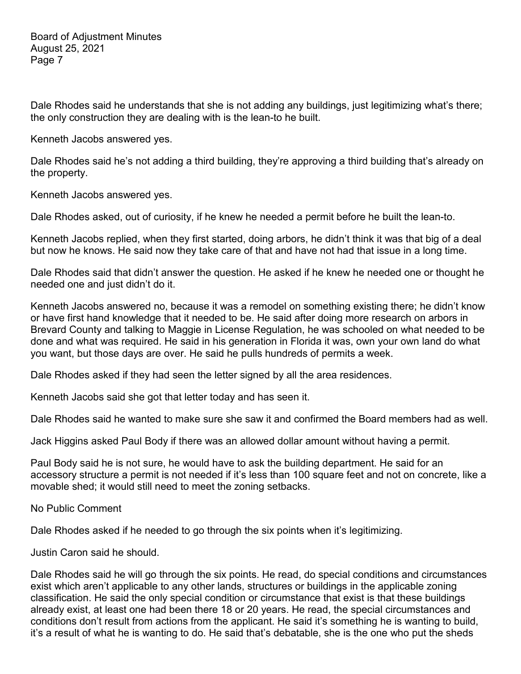Dale Rhodes said he understands that she is not adding any buildings, just legitimizing what's there; the only construction they are dealing with is the lean-to he built.

Kenneth Jacobs answered yes.

Dale Rhodes said he's not adding a third building, they're approving a third building that's already on the property.

Kenneth Jacobs answered yes.

Dale Rhodes asked, out of curiosity, if he knew he needed a permit before he built the lean-to.

Kenneth Jacobs replied, when they first started, doing arbors, he didn't think it was that big of a deal but now he knows. He said now they take care of that and have not had that issue in a long time.

Dale Rhodes said that didn't answer the question. He asked if he knew he needed one or thought he needed one and just didn't do it.

Kenneth Jacobs answered no, because it was a remodel on something existing there; he didn't know or have first hand knowledge that it needed to be. He said after doing more research on arbors in Brevard County and talking to Maggie in License Regulation, he was schooled on what needed to be done and what was required. He said in his generation in Florida it was, own your own land do what you want, but those days are over. He said he pulls hundreds of permits a week.

Dale Rhodes asked if they had seen the letter signed by all the area residences.

Kenneth Jacobs said she got that letter today and has seen it.

Dale Rhodes said he wanted to make sure she saw it and confirmed the Board members had as well.

Jack Higgins asked Paul Body if there was an allowed dollar amount without having a permit.

Paul Body said he is not sure, he would have to ask the building department. He said for an accessory structure a permit is not needed if it's less than 100 square feet and not on concrete, like a movable shed; it would still need to meet the zoning setbacks.

No Public Comment

Dale Rhodes asked if he needed to go through the six points when it's legitimizing.

Justin Caron said he should.

Dale Rhodes said he will go through the six points. He read, do special conditions and circumstances exist which aren't applicable to any other lands, structures or buildings in the applicable zoning classification. He said the only special condition or circumstance that exist is that these buildings already exist, at least one had been there 18 or 20 years. He read, the special circumstances and conditions don't result from actions from the applicant. He said it's something he is wanting to build, it's a result of what he is wanting to do. He said that's debatable, she is the one who put the sheds